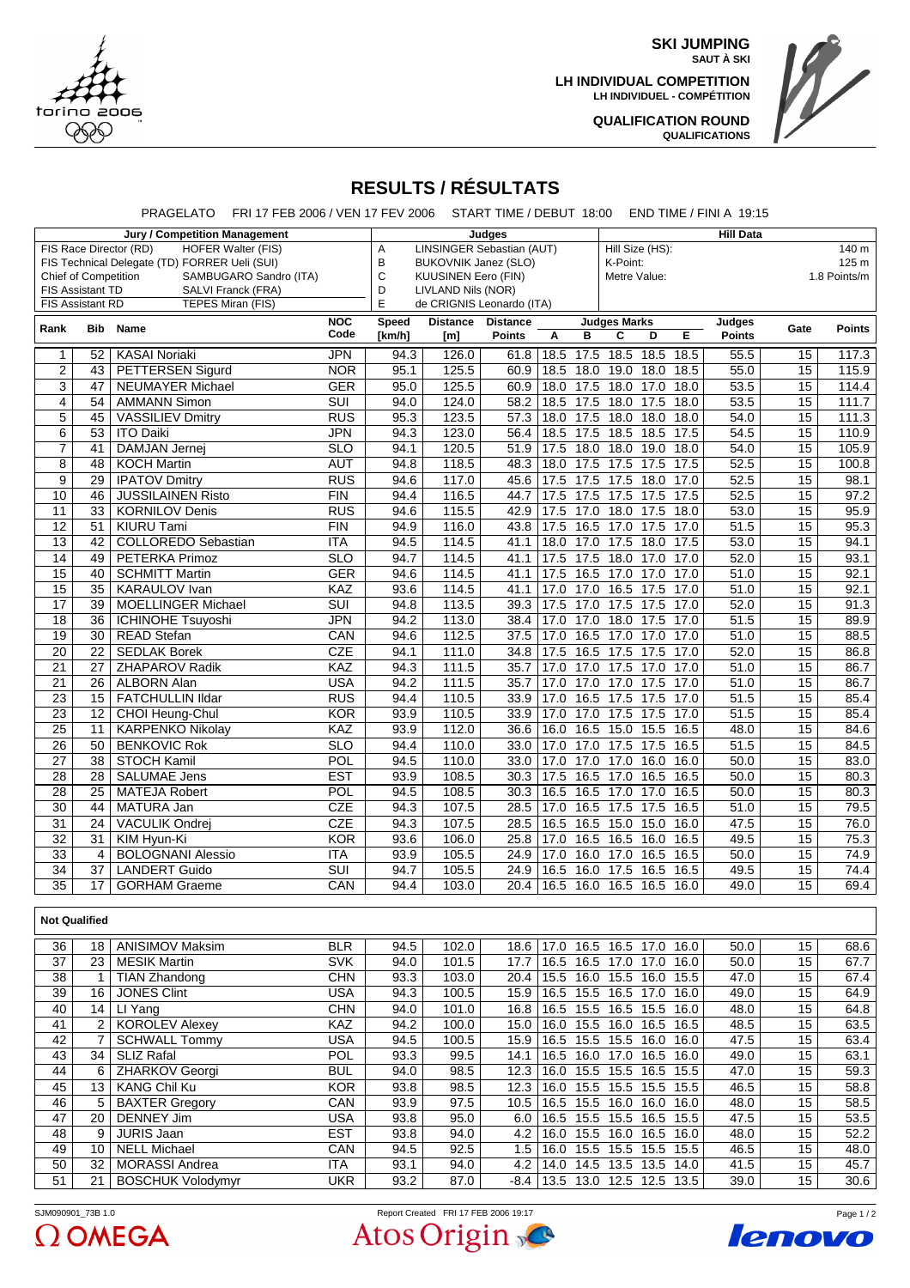

**SKI JUMPING SAUT À SKI**

**LH INDIVIDUAL COMPETITION LH INDIVIDUEL - COMPÉTITION**



**QUALIFICATION ROUND QUALIFICATIONS**

## **RESULTS / RÉSULTATS**

PRAGELATO FRI 17 FEB 2006 / VEN 17 FEV 2006 START TIME / DEBUT 18:00 END TIME / FINI A 19:15

| <b>Jury / Competition Management</b>                                                  |                  |                                                     | Judges                           |                                       |                        |                                  | <b>Hill Data</b>             |                                              |                         |                 |               |  |
|---------------------------------------------------------------------------------------|------------------|-----------------------------------------------------|----------------------------------|---------------------------------------|------------------------|----------------------------------|------------------------------|----------------------------------------------|-------------------------|-----------------|---------------|--|
|                                                                                       |                  | <b>HOFER Walter (FIS)</b><br>FIS Race Director (RD) |                                  | <b>LINSINGER Sebastian (AUT)</b><br>Α |                        |                                  |                              | Hill Size (HS):<br>140 m<br>125 <sub>m</sub> |                         |                 |               |  |
| FIS Technical Delegate (TD) FORRER Ueli (SUI)                                         |                  |                                                     | B<br><b>BUKOVNIK Janez (SLO)</b> |                                       |                        |                                  | K-Point:                     |                                              |                         |                 |               |  |
| Chief of Competition<br>SAMBUGARO Sandro (ITA)                                        |                  |                                                     | C                                | <b>KUUSINEN Eero (FIN)</b>            |                        |                                  | Metre Value:<br>1.8 Points/m |                                              |                         |                 |               |  |
|                                                                                       | FIS Assistant TD | SALVI Franck (FRA)                                  | D                                | LIVLAND Nils (NOR)                    |                        |                                  |                              |                                              |                         |                 |               |  |
| E<br><b>FIS Assistant RD</b><br><b>TEPES Miran (FIS)</b><br>de CRIGNIS Leonardo (ITA) |                  |                                                     |                                  |                                       |                        |                                  |                              |                                              |                         |                 |               |  |
| Rank                                                                                  | <b>Bib</b>       | <b>Name</b>                                         | <b>NOC</b><br>Code               | <b>Speed</b><br>[km/h]                | <b>Distance</b><br>[m] | <b>Distance</b><br><b>Points</b> | Α<br>B                       | <b>Judges Marks</b><br>E<br>C<br>D           | Judges<br><b>Points</b> | Gate            | <b>Points</b> |  |
| $\mathbf{1}$                                                                          | 52               | <b>KASAI Noriaki</b>                                | <b>JPN</b>                       | 94.3                                  | 126.0                  | 61.8                             | 18.5<br>17.5                 | $\overline{18.5}$<br>18.5<br>18.5            | 55.5                    | 15              | 117.3         |  |
| $\overline{2}$                                                                        | 43               | <b>PETTERSEN Sigurd</b>                             | <b>NOR</b>                       | 95.1                                  | 125.5                  | 60.9                             | 18.0<br>18.5                 | 19.0<br>18.0<br>18.5                         | 55.0                    | $\overline{15}$ | 115.9         |  |
| $\overline{3}$                                                                        | 47               | <b>NEUMAYER Michael</b>                             | <b>GER</b>                       | 95.0                                  | 125.5                  | 60.9                             | 18.0<br>17.5                 | 18.0<br>17.0<br>18.0                         | 53.5                    | $\overline{15}$ | 114.4         |  |
| $\overline{\mathbf{4}}$                                                               | 54               | <b>AMMANN Simon</b>                                 | $\overline{\text{SUI}}$          | 94.0                                  | 124.0                  | 58.2                             | 18.5<br>17.5                 | 18.0<br>18.0<br>17.5                         | 53.5                    | 15              | 111.7         |  |
| $\overline{5}$                                                                        | 45               | <b>VASSILIEV Dmitry</b>                             | RUS                              | 95.3                                  | 123.5                  | 57.3                             | 17.5<br>18.0                 | 18.0<br>18.0<br>18.0                         | 54.0                    | 15              | 111.3         |  |
| 6                                                                                     | 53               | <b>ITO Daiki</b>                                    | <b>JPN</b>                       | 94.3                                  | 123.0                  | 56.4                             | 17.5<br>18.5                 | 18.5<br>18.5<br>17.5                         | 54.5                    | 15              | 110.9         |  |
| $\overline{7}$                                                                        | 41               | <b>DAMJAN Jernei</b>                                | $\overline{\text{SLO}}$          | 94.1                                  | 120.5                  | 51.9                             | 17.5<br>18.0                 | 18.0<br>19.0<br>18.0                         | 54.0                    | 15              | 105.9         |  |
| $\overline{8}$                                                                        | 48               | <b>KOCH Martin</b>                                  | <b>AUT</b>                       | 94.8                                  | 118.5                  | 48.3                             | 18.0<br>17.5                 | 17.5<br>17.5<br>17.5                         | 52.5                    | 15              | 100.8         |  |
| 9                                                                                     | $\overline{29}$  | <b>IPATOV Dmitry</b>                                | <b>RUS</b>                       | 94.6                                  | 117.0                  | 45.6                             | 17.5<br>17.5                 | 17.5<br>18.0<br>17.0                         | 52.5                    | 15              | 98.1          |  |
|                                                                                       | 46               |                                                     | $\overline{FIN}$                 |                                       |                        |                                  |                              |                                              | $\overline{52.5}$       |                 |               |  |
| 10                                                                                    |                  | <b>JUSSILAINEN Risto</b>                            |                                  | 94.4                                  | 116.5                  | 44.7                             | 17.5<br>17.5                 | 17.5<br>17.5<br>17.5                         |                         | 15              | 97.2          |  |
| $\overline{11}$                                                                       | $\overline{33}$  | <b>KORNILOV Denis</b>                               | $\overline{RUS}$                 | 94.6                                  | 115.5                  | 42.9                             | 17.5<br>17.0                 | 18.0<br>17.5<br>18.0                         | 53.0                    | 15              | 95.9          |  |
| $\overline{12}$                                                                       | $\overline{51}$  | <b>KIURU Tami</b>                                   | FIN                              | 94.9                                  | 116.0                  | 43.8                             | 17.5<br>16.5                 | 17.0<br>17.5<br>17.0                         | 51.5                    | 15              | 95.3          |  |
| $\overline{13}$                                                                       | 42               | <b>COLLOREDO Sebastian</b>                          | <b>ITA</b>                       | 94.5                                  | 114.5                  | 41.1                             | 18.0<br>17.0                 | 17.5<br>18.0<br>17.5                         | 53.0                    | 15              | 94.1          |  |
| $\overline{14}$                                                                       | 49               | <b>PETERKA Primoz</b>                               | $\overline{\text{SLO}}$          | 94.7                                  | 114.5                  | 41.1                             | 17.5<br>17.5                 | 18.0<br>17.0<br>17.0                         | 52.0                    | 15              | 93.1          |  |
| $\overline{15}$                                                                       | 40               | <b>SCHMITT Martin</b>                               | <b>GER</b>                       | 94.6                                  | 114.5                  | 41.1                             | 17.5<br>16.5                 | $\frac{17.0}{x}$<br>17.0<br>17.0             | 51.0                    | $\overline{15}$ | 92.1          |  |
| $\overline{15}$                                                                       | $\overline{35}$  | <b>KARAULOV</b> Ivan                                | KAZ                              | 93.6                                  | 114.5                  | 41.1                             | 17.0<br>17.0                 | 16.5<br>17.5<br>17.0                         | 51.0                    | $\overline{15}$ | 92.1          |  |
| $\overline{17}$                                                                       | $\overline{39}$  | <b>MOELLINGER Michael</b>                           | SUI                              | 94.8                                  | 113.5                  | 39.3                             | 17.0<br>17.5                 | 17.5<br>17.5<br>17.0                         | 52.0                    | 15              | 91.3          |  |
| 18                                                                                    | $\overline{36}$  | <b>ICHINOHE Tsuyoshi</b>                            | <b>JPN</b>                       | 94.2                                  | 113.0                  | 38.4                             | 17.0<br>17.0                 | 18.0<br>17.5<br>17.0                         | 51.5                    | 15              | 89.9          |  |
| 19                                                                                    | $\overline{30}$  | <b>READ Stefan</b>                                  | CAN                              | 94.6                                  | 112.5                  | 37.5                             | 17.0<br>16.5                 | 17.0<br>17.0<br>17.0                         | $\overline{51.0}$       | 15              | 88.5          |  |
| $\overline{20}$                                                                       | $\overline{22}$  | <b>SEDLAK Borek</b>                                 | CZE                              | 94.1                                  | 111.0                  | 34.8                             | 17.5<br>16.5                 | 17.5<br>17.0<br>17.5                         | 52.0                    | 15              | 86.8          |  |
| $\overline{21}$                                                                       | $\overline{27}$  | <b>ZHAPAROV Radik</b>                               | KAZ                              | 94.3                                  | 111.5                  | 35.7                             | 17.0<br>17.0                 | 17.5<br>17.0<br>17.0                         | 51.0                    | $\overline{15}$ | 86.7          |  |
| $\overline{21}$                                                                       | $\overline{26}$  | <b>ALBORN Alan</b>                                  | <b>USA</b>                       | 94.2                                  | 111.5                  | 35.7                             | 17.0<br>17.0                 | 17.0<br>17.5<br>17.0                         | 51.0                    | $\overline{15}$ | 86.7          |  |
| $\overline{23}$                                                                       | 15               | <b>FATCHULLIN IIdar</b>                             | RUS                              | 94.4                                  | 110.5                  | 33.9                             | 17.0<br>16.5                 | 17.5<br>17.5<br>17.0                         | 51.5                    | 15              | 85.4          |  |
| $\overline{23}$                                                                       | $\overline{12}$  | CHOI Heung-Chul                                     | <b>KOR</b>                       | 93.9                                  | 110.5                  | 33.9                             | 17.0<br>17.0                 | 17.5<br>17.5<br>17.0                         | 51.5                    | 15              | 85.4          |  |
| $\overline{25}$                                                                       | 11               | <b>KARPENKO Nikolay</b>                             | KAZ                              | 93.9                                  | 112.0                  | 36.6                             | 16.0<br>16.5                 | 15.0<br>15.5<br>16.5                         | 48.0                    | 15              | 84.6          |  |
| $\overline{26}$                                                                       | $\overline{50}$  | <b>BENKOVIC Rok</b>                                 | SLO                              | 94.4                                  | 110.0                  | 33.0                             | 17.0<br>17.0                 | 17.5<br>17.5<br>16.5                         | 51.5                    | 15              | 84.5          |  |
| $\overline{27}$                                                                       | $\overline{38}$  | <b>STOCH Kamil</b>                                  | <b>POL</b>                       | 94.5                                  | 110.0                  | 33.0                             | 17.0<br>17.0                 | 17.0<br>16.0<br>16.0                         | 50.0                    | 15              | 83.0          |  |
| 28                                                                                    | $\overline{28}$  | <b>SALUMAE Jens</b>                                 | $\overline{\text{EST}}$          | 93.9                                  | 108.5                  | 30.3                             | 16.5<br>17.5                 | 17.0<br>16.5<br>16.5                         | 50.0                    | 15              | 80.3          |  |
| $\overline{28}$                                                                       | $\overline{25}$  | <b>MATEJA Robert</b>                                | POL                              | 94.5                                  | 108.5                  | 30.3                             | 16.5<br>16.5                 | 17.0<br>17.0<br>16.5                         | 50.0                    | $\overline{15}$ | 80.3          |  |
| $\overline{30}$                                                                       | 44               | <b>MATURA Jan</b>                                   | <b>CZE</b>                       | 94.3                                  | 107.5                  | 28.5                             | 17.0<br>16.5                 | 17.5<br>17.5<br>16.5                         | 51.0                    | $\overline{15}$ | 79.5          |  |
| 31                                                                                    | 24               | VACULIK Ondrej                                      | <b>CZE</b>                       | 94.3                                  | 107.5                  | 28.5                             | 16.5<br>16.5                 | 15.0<br>15.0<br>16.0                         | 47.5                    | 15              | 76.0          |  |
| $\overline{32}$                                                                       | 31               | KIM Hyun-Ki                                         | <b>KOR</b>                       | 93.6                                  | 106.0                  | 25.8                             | 16.5<br>17.0                 | 16.0<br>16.5<br>16.5                         | 49.5                    | 15              | 75.3          |  |
| $\overline{33}$                                                                       | $\overline{4}$   | <b>BOLOGNANI Alessio</b>                            | <b>ITA</b>                       | 93.9                                  | 105.5                  | 24.9                             | 16.0<br>17.0                 | 17.0<br>16.5<br>16.5                         | 50.0                    | 15              | 74.9          |  |
| $\overline{34}$                                                                       | $\overline{37}$  | <b>LANDERT Guido</b>                                | $\overline{\text{SUI}}$          | 94.7                                  | 105.5                  | 24.9                             | 16.5<br>16.0                 | 17.5<br>16.5<br>16.5                         | 49.5                    | 15              | 74.4          |  |
| $\overline{35}$                                                                       | 17               | <b>GORHAM Graeme</b>                                | CAN                              | 94.4                                  | 103.0                  | 20.4                             | 16.5<br>16.0                 | 16.5<br>16.5<br>16.0                         | 49.0                    | $\overline{15}$ | 69.4          |  |
|                                                                                       |                  |                                                     |                                  |                                       |                        |                                  |                              |                                              |                         |                 |               |  |

## 36 18 ANISIMOV Maksim BLR | 94.5 102.0 18.6 17.0 16.5 16.5 17.0 16.0 50.0 15 68.6 137 23 MESIK Martin SVK | 94.0 101.5 17.7 16.5 16.5 17.0 17.0 16.0 50.0 15 67.7 23 MESIK Martin SVK 34.0 101.5 17.7 16.5 16.5 17.0 17.0 16.0 50.0 15 1 TIAN Zhandong CHN 1 93.3 103.0 20.4 15.5 16.0 15.5 16.0 15.5 17.0 15 67.4<br>39 16 JONES Clint USA 94.3 100.5 15.9 16.5 15.5 16.5 17.0 16.0 49.0 15 64.9 39 JONES Clint USA 16 94.3 100.5 15.9 16.5 15.5 16.5 17.0 16.0 49.0 15 64.9 40 14 LI Yang CHN 94.0 101.0 16.8 16.5 15.5 16.5 15.5 16.0 48.0 15 64.8 41 KOROLEV Alexey KAZ 2 94.2 100.0 15.0 16.0 15.5 16.0 16.5 16.5 48.5 15 63.5 42 7 SCHWALL Tommy USA 94.5 100.5 15.9 16.5 15.5 15.5 16.0 16.0 47.5 15 63.4 43 SLIZ Rafal POL 34 93.3 99.5 14.1 16.5 16.0 17.0 16.5 16.0 49.0 15 63.1 44 6 ZHARKOV Georgi BUL 94.0 98.5 12.3 16.0 15.5 15.5 16.5 15.5 47.0 15 59.3 45 KANG Chil Ku KOR 13 93.8 98.5 12.3 16.0 15.5 15.5 15.5 15.5 46.5 15 58.8 46 5 BAXTER Gregory CAN 93.9 97.5 10.5 16.5 15.5 16.0 16.0 16.0 48.0 15 58.5<br>47 20 DENNEY Jim USA 93.8 95.0 6.0 16.5 15.5 15.5 15.5 47.5 15 53.5 20 DENNEY Jim USA 33.8 95.0 6.0 16.5 15.5 16.5 15.5 15.5 48 JURIS Jaan EST 9 93.8 94.0 4.2 16.0 15.5 16.0 16.5 16.0 48.0 15 52.2 49 NELL Michael CAN 10 94.5 92.5 1.5 16.0 15.5 15.5 15.5 15.5 46.5 15 48.0 4.2 14.0 14.5 13.5 51 BOSCHUK Volodymyr UKR 21 93.2 87.0 -8.4 13.5 13.0 12.5 12.5 13.5 39.0 15 30.6



**Not Qualified**

Atos Origin



Page 1 / 2